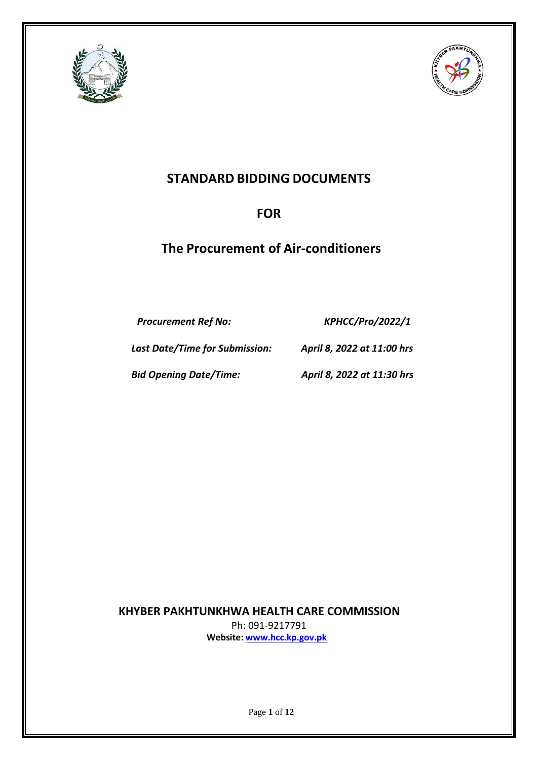



# **STANDARD BIDDING DOCUMENTS**

# **FOR**

# **The Procurement of Air-conditioners**

*Procurement Ref No: KPHCC/Pro/2022/1*

*Last Date/Time for Submission: April 8, 2022 at 11:00 hrs* 

*Bid Opening Date/Time: April 8, 2022 at 11:30 hrs*

 **KHYBER PAKHTUNKHWA HEALTH CARE COMMISSION** Ph: 091-9217791 **Website: [www.hcc.kp.gov.pk](http://www.hcc.kp.gov.pk/)**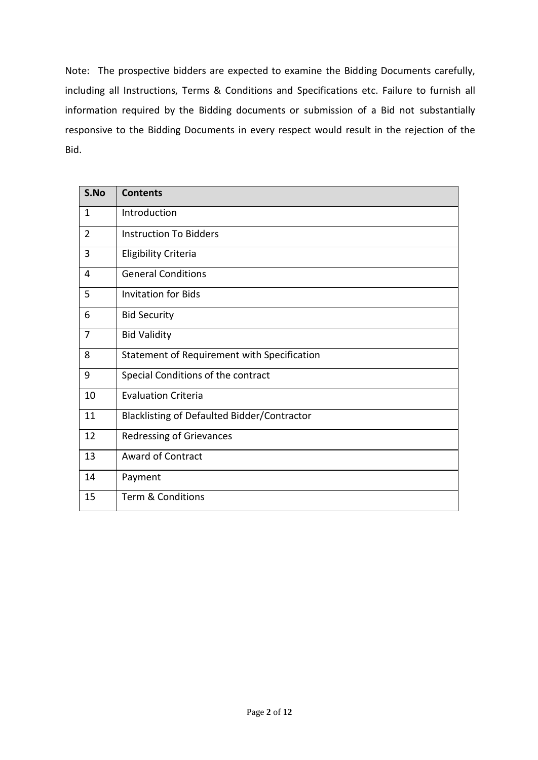Note: The prospective bidders are expected to examine the Bidding Documents carefully, including all Instructions, Terms & Conditions and Specifications etc. Failure to furnish all information required by the Bidding documents or submission of a Bid not substantially responsive to the Bidding Documents in every respect would result in the rejection of the Bid.

| S.No           | <b>Contents</b>                             |  |
|----------------|---------------------------------------------|--|
| $\mathbf{1}$   | Introduction                                |  |
| $\overline{2}$ | <b>Instruction To Bidders</b>               |  |
| 3              | <b>Eligibility Criteria</b>                 |  |
| 4              | <b>General Conditions</b>                   |  |
| 5              | <b>Invitation for Bids</b>                  |  |
| 6              | <b>Bid Security</b>                         |  |
| $\overline{7}$ | <b>Bid Validity</b>                         |  |
| 8              | Statement of Requirement with Specification |  |
| 9              | Special Conditions of the contract          |  |
| 10             | <b>Evaluation Criteria</b>                  |  |
| 11             | Blacklisting of Defaulted Bidder/Contractor |  |
| 12             | <b>Redressing of Grievances</b>             |  |
| 13             | <b>Award of Contract</b>                    |  |
| 14             | Payment                                     |  |
| 15             | <b>Term &amp; Conditions</b>                |  |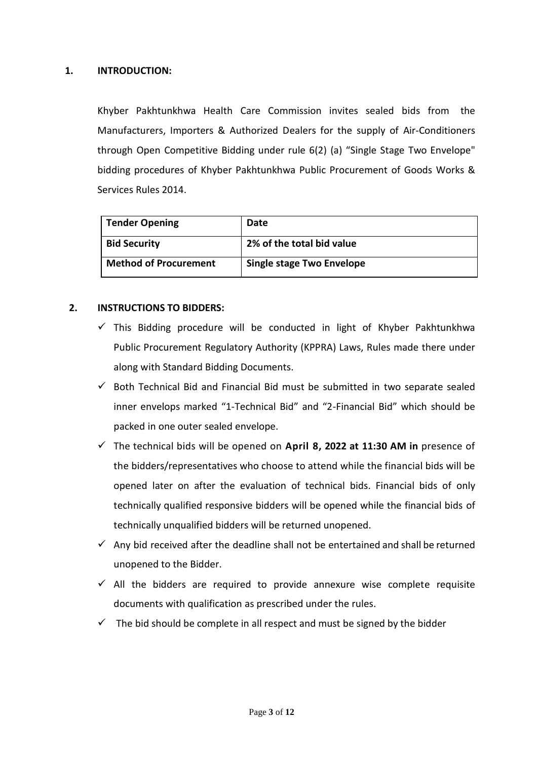## **1. INTRODUCTION:**

Khyber Pakhtunkhwa Health Care Commission invites sealed bids from the Manufacturers, Importers & Authorized Dealers for the supply of Air-Conditioners through Open Competitive Bidding under rule 6(2) (a) "Single Stage Two Envelope" bidding procedures of Khyber Pakhtunkhwa Public Procurement of Goods Works & Services Rules 2014.

| <b>Tender Opening</b>        | Date                      |
|------------------------------|---------------------------|
| <b>Bid Security</b>          | 2% of the total bid value |
| <b>Method of Procurement</b> | Single stage Two Envelope |

## **2. INSTRUCTIONS TO BIDDERS:**

- $\checkmark$  This Bidding procedure will be conducted in light of Khyber Pakhtunkhwa Public Procurement Regulatory Authority (KPPRA) Laws, Rules made there under along with Standard Bidding Documents.
- $\checkmark$  Both Technical Bid and Financial Bid must be submitted in two separate sealed inner envelops marked "1-Technical Bid" and "2-Financial Bid" which should be packed in one outer sealed envelope.
- The technical bids will be opened on **April 8, 2022 at 11:30 AM in** presence of the bidders/representatives who choose to attend while the financial bids will be opened later on after the evaluation of technical bids. Financial bids of only technically qualified responsive bidders will be opened while the financial bids of technically unqualified bidders will be returned unopened.
- $\checkmark$  Any bid received after the deadline shall not be entertained and shall be returned unopened to the Bidder.
- $\checkmark$  All the bidders are required to provide annexure wise complete requisite documents with qualification as prescribed under the rules.
- $\checkmark$  The bid should be complete in all respect and must be signed by the bidder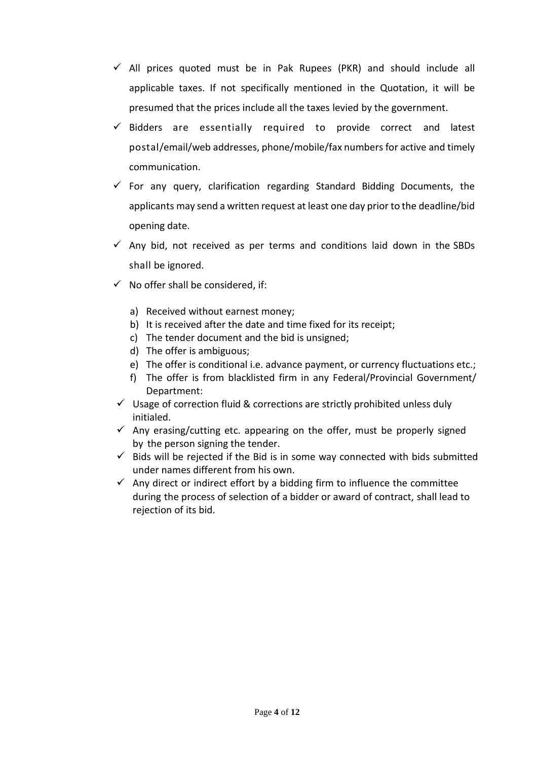- $\checkmark$  All prices quoted must be in Pak Rupees (PKR) and should include all applicable taxes. If not specifically mentioned in the Quotation, it will be presumed that the prices include all the taxes levied by the government.
- $\checkmark$  Bidders are essentially required to provide correct and latest postal/email/web addresses, phone/mobile/fax numbers for active and timely communication.
- $\checkmark$  For any query, clarification regarding Standard Bidding Documents, the applicants may send a written request at least one day prior to the deadline/bid opening date.
- $\checkmark$  Any bid, not received as per terms and conditions laid down in the SBDs shall be ignored.
- $\checkmark$  No offer shall be considered, if:
	- a) Received without earnest money;
	- b) It is received after the date and time fixed for its receipt;
	- c) The tender document and the bid is unsigned;
	- d) The offer is ambiguous;
	- e) The offer is conditional i.e. advance payment, or currency fluctuations etc.;
	- f) The offer is from blacklisted firm in any Federal/Provincial Government/ Department:
- $\checkmark$  Usage of correction fluid & corrections are strictly prohibited unless duly initialed.
- $\checkmark$  Any erasing/cutting etc. appearing on the offer, must be properly signed by the person signing the tender.
- $\checkmark$  Bids will be rejected if the Bid is in some way connected with bids submitted under names different from his own.
- $\checkmark$  Any direct or indirect effort by a bidding firm to influence the committee during the process of selection of a bidder or award of contract, shall lead to rejection of its bid.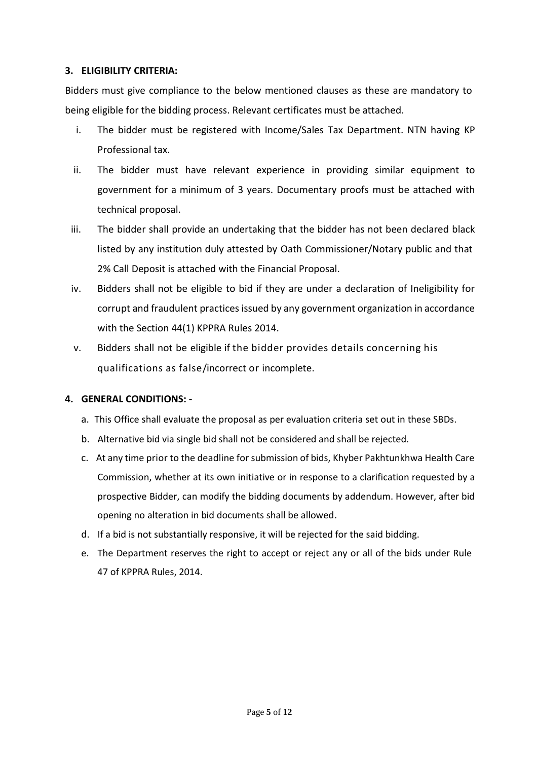## **3. ELIGIBILITY CRITERIA:**

Bidders must give compliance to the below mentioned clauses as these are mandatory to being eligible for the bidding process. Relevant certificates must be attached.

- i. The bidder must be registered with Income/Sales Tax Department. NTN having KP Professional tax.
- ii. The bidder must have relevant experience in providing similar equipment to government for a minimum of 3 years. Documentary proofs must be attached with technical proposal.
- iii. The bidder shall provide an undertaking that the bidder has not been declared black listed by any institution duly attested by Oath Commissioner/Notary public and that 2% Call Deposit is attached with the Financial Proposal.
- iv. Bidders shall not be eligible to bid if they are under a declaration of Ineligibility for corrupt and fraudulent practicesissued by any government organization in accordance with the Section 44(1) KPPRA Rules 2014.
- v. Bidders shall not be eligible if the bidder provides details concerning his qualifications as false/incorrect or incomplete.

# **4. GENERAL CONDITIONS: -**

- a. This Office shall evaluate the proposal as per evaluation criteria set out in these SBDs.
- b. Alternative bid via single bid shall not be considered and shall be rejected.
- c. At any time prior to the deadline for submission of bids, Khyber Pakhtunkhwa Health Care Commission, whether at its own initiative or in response to a clarification requested by a prospective Bidder, can modify the bidding documents by addendum. However, after bid opening no alteration in bid documents shall be allowed.
- d. If a bid is not substantially responsive, it will be rejected for the said bidding.
- e. The Department reserves the right to accept or reject any or all of the bids under Rule 47 of KPPRA Rules, 2014.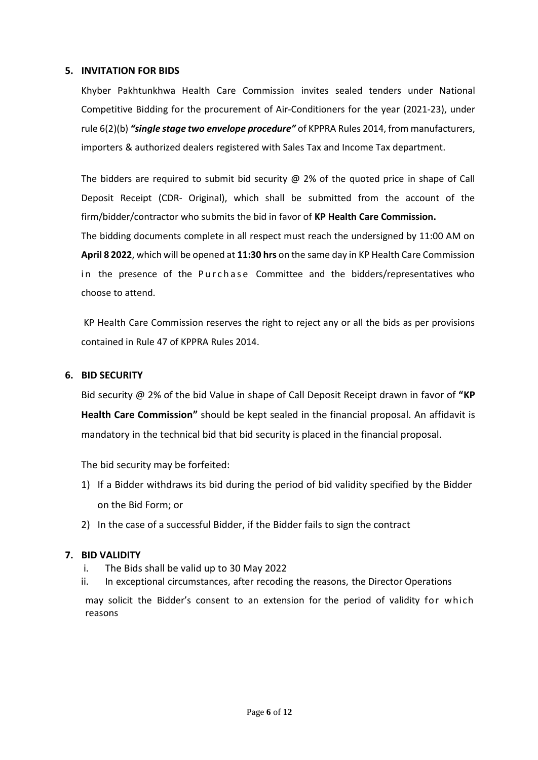#### **5. INVITATION FOR BIDS**

Khyber Pakhtunkhwa Health Care Commission invites sealed tenders under National Competitive Bidding for the procurement of Air-Conditioners for the year (2021-23), under rule 6(2)(b) *"single stage two envelope procedure"* of KPPRA Rules 2014, from manufacturers, importers & authorized dealers registered with Sales Tax and Income Tax department.

The bidders are required to submit bid security  $\omega$  2% of the quoted price in shape of Call Deposit Receipt (CDR- Original), which shall be submitted from the account of the firm/bidder/contractor who submits the bid in favor of **KP Health Care Commission.**

The bidding documents complete in all respect must reach the undersigned by 11:00 AM on **April 8 2022**, which will be opened at **11:30 hrs** on the same day in KP Health Care Commission in the presence of the Purchase Committee and the bidders/representatives who choose to attend.

KP Health Care Commission reserves the right to reject any or all the bids as per provisions contained in Rule 47 of KPPRA Rules 2014.

#### **6. BID SECURITY**

Bid security @ 2% of the bid Value in shape of Call Deposit Receipt drawn in favor of **"KP Health Care Commission"** should be kept sealed in the financial proposal. An affidavit is mandatory in the technical bid that bid security is placed in the financial proposal.

The bid security may be forfeited:

- 1) If a Bidder withdraws its bid during the period of bid validity specified by the Bidder on the Bid Form; or
- 2) In the case of a successful Bidder, if the Bidder fails to sign the contract

## **7. BID VALIDITY**

- i. The Bids shall be valid up to 30 May 2022
- ii. In exceptional circumstances, after recoding the reasons, the Director Operations

may solicit the Bidder's consent to an extension for the period of validity for which reasons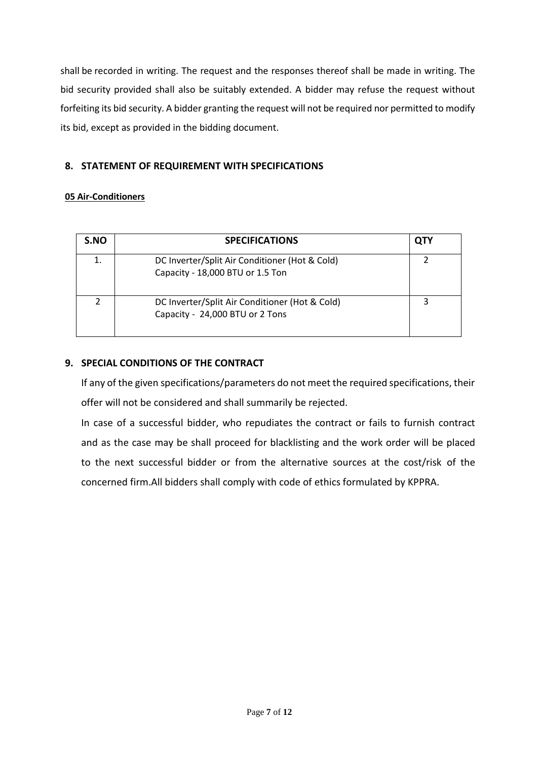shall be recorded in writing. The request and the responses thereof shall be made in writing. The bid security provided shall also be suitably extended. A bidder may refuse the request without forfeiting its bid security. A bidder granting the request will not be required nor permitted to modify its bid, except as provided in the bidding document.

# **8. STATEMENT OF REQUIREMENT WITH SPECIFICATIONS**

# **05 Air-Conditioners**

| S.NO | <b>SPECIFICATIONS</b>                                                              | OTY |
|------|------------------------------------------------------------------------------------|-----|
|      | DC Inverter/Split Air Conditioner (Hot & Cold)<br>Capacity - 18,000 BTU or 1.5 Ton |     |
|      | DC Inverter/Split Air Conditioner (Hot & Cold)<br>Capacity - 24,000 BTU or 2 Tons  |     |

# **9. SPECIAL CONDITIONS OF THE CONTRACT**

If any of the given specifications/parameters do not meet the required specifications, their offer will not be considered and shall summarily be rejected.

In case of a successful bidder, who repudiates the contract or fails to furnish contract and as the case may be shall proceed for blacklisting and the work order will be placed to the next successful bidder or from the alternative sources at the cost/risk of the concerned firm.All bidders shall comply with code of ethics formulated by KPPRA.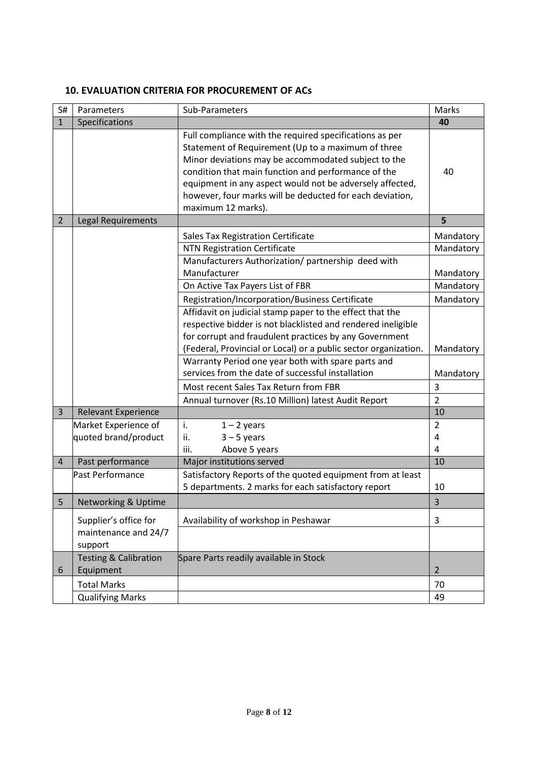## **10. EVALUATION CRITERIA FOR PROCUREMENT OF ACs**

| S#             | Parameters                                               | Sub-Parameters                                                                                                                                                                                                                                                                                                                                                            | Marks                    |
|----------------|----------------------------------------------------------|---------------------------------------------------------------------------------------------------------------------------------------------------------------------------------------------------------------------------------------------------------------------------------------------------------------------------------------------------------------------------|--------------------------|
| $\mathbf{1}$   | Specifications                                           |                                                                                                                                                                                                                                                                                                                                                                           | 40                       |
|                |                                                          | Full compliance with the required specifications as per<br>Statement of Requirement (Up to a maximum of three<br>Minor deviations may be accommodated subject to the<br>condition that main function and performance of the<br>equipment in any aspect would not be adversely affected,<br>however, four marks will be deducted for each deviation,<br>maximum 12 marks). | 40                       |
| $\overline{2}$ | Legal Requirements                                       |                                                                                                                                                                                                                                                                                                                                                                           | 5                        |
|                |                                                          | Sales Tax Registration Certificate<br><b>NTN Registration Certificate</b><br>Manufacturers Authorization/ partnership deed with                                                                                                                                                                                                                                           | Mandatory<br>Mandatory   |
|                |                                                          | Manufacturer                                                                                                                                                                                                                                                                                                                                                              | Mandatory                |
|                |                                                          | On Active Tax Payers List of FBR                                                                                                                                                                                                                                                                                                                                          | Mandatory                |
|                |                                                          | Registration/Incorporation/Business Certificate                                                                                                                                                                                                                                                                                                                           | Mandatory                |
|                |                                                          | Affidavit on judicial stamp paper to the effect that the<br>respective bidder is not blacklisted and rendered ineligible<br>for corrupt and fraudulent practices by any Government<br>(Federal, Provincial or Local) or a public sector organization.                                                                                                                     | Mandatory                |
|                |                                                          | Warranty Period one year both with spare parts and<br>services from the date of successful installation                                                                                                                                                                                                                                                                   | Mandatory                |
|                |                                                          | Most recent Sales Tax Return from FBR                                                                                                                                                                                                                                                                                                                                     | 3                        |
|                |                                                          | Annual turnover (Rs.10 Million) latest Audit Report                                                                                                                                                                                                                                                                                                                       | $\overline{2}$           |
| $\overline{3}$ | <b>Relevant Experience</b>                               |                                                                                                                                                                                                                                                                                                                                                                           | 10                       |
|                | Market Experience of<br>quoted brand/product             | i.<br>$1 - 2$ years<br>$3 - 5$ years<br>ii.<br>Above 5 years<br>iii.                                                                                                                                                                                                                                                                                                      | $\overline{2}$<br>4<br>4 |
| $\overline{4}$ | Past performance                                         | Major institutions served                                                                                                                                                                                                                                                                                                                                                 | 10                       |
|                | Past Performance                                         | Satisfactory Reports of the quoted equipment from at least<br>5 departments. 2 marks for each satisfactory report                                                                                                                                                                                                                                                         | 10                       |
| 5              | <b>Networking &amp; Uptime</b>                           |                                                                                                                                                                                                                                                                                                                                                                           | 3                        |
|                | Supplier's office for<br>maintenance and 24/7<br>support | Availability of workshop in Peshawar                                                                                                                                                                                                                                                                                                                                      | 3                        |
| 6              | <b>Testing &amp; Calibration</b><br>Equipment            | Spare Parts readily available in Stock                                                                                                                                                                                                                                                                                                                                    | $\overline{2}$           |
|                | <b>Total Marks</b><br><b>Qualifying Marks</b>            |                                                                                                                                                                                                                                                                                                                                                                           | 70<br>49                 |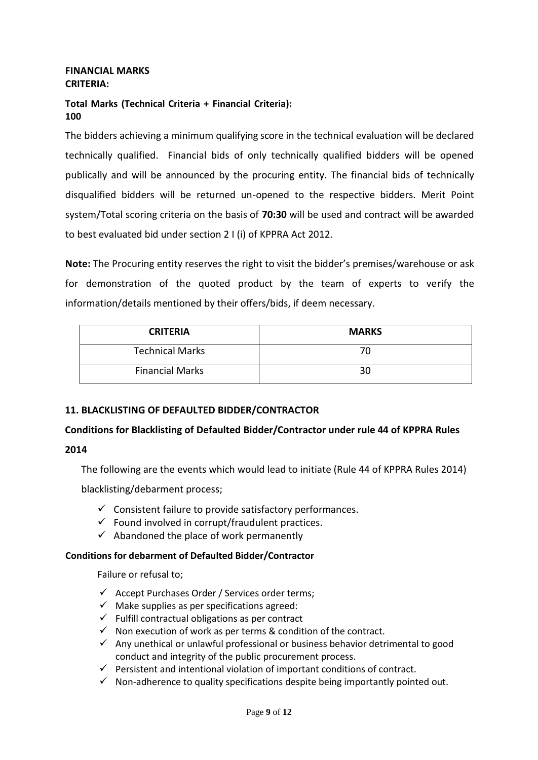#### **FINANCIAL MARKS CRITERIA:**

## **Total Marks (Technical Criteria + Financial Criteria): 100**

The bidders achieving a minimum qualifying score in the technical evaluation will be declared technically qualified. Financial bids of only technically qualified bidders will be opened publically and will be announced by the procuring entity. The financial bids of technically disqualified bidders will be returned un-opened to the respective bidders. Merit Point system/Total scoring criteria on the basis of **70:30** will be used and contract will be awarded to best evaluated bid under section 2 I (i) of KPPRA Act 2012.

**Note:** The Procuring entity reserves the right to visit the bidder's premises/warehouse or ask for demonstration of the quoted product by the team of experts to verify the information/details mentioned by their offers/bids, if deem necessary.

| <b>CRITERIA</b>        | <b>MARKS</b> |
|------------------------|--------------|
| <b>Technical Marks</b> | 70           |
| <b>Financial Marks</b> | 30           |

# **11. BLACKLISTING OF DEFAULTED BIDDER/CONTRACTOR**

# **Conditions for Blacklisting of Defaulted Bidder/Contractor under rule 44 of KPPRA Rules**

**2014**

The following are the events which would lead to initiate (Rule 44 of KPPRA Rules 2014)

blacklisting/debarment process;

- $\checkmark$  Consistent failure to provide satisfactory performances.
- $\checkmark$  Found involved in corrupt/fraudulent practices.
- $\checkmark$  Abandoned the place of work permanently

## **Conditions for debarment of Defaulted Bidder/Contractor**

Failure or refusal to;

- $\checkmark$  Accept Purchases Order / Services order terms;
- $\checkmark$  Make supplies as per specifications agreed:
- $\checkmark$  Fulfill contractual obligations as per contract
- $\checkmark$  Non execution of work as per terms & condition of the contract.
- $\checkmark$  Any unethical or unlawful professional or business behavior detrimental to good conduct and integrity of the public procurement process.
- $\checkmark$  Persistent and intentional violation of important conditions of contract.
- $\checkmark$  Non-adherence to quality specifications despite being importantly pointed out.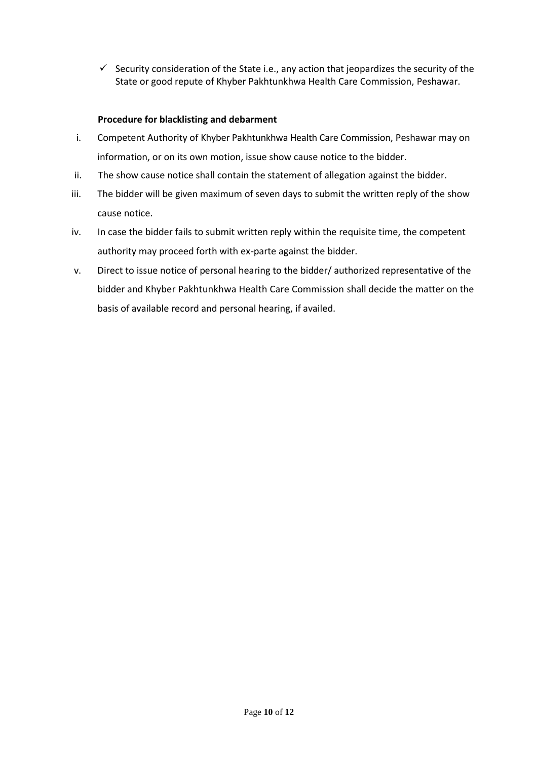Security consideration of the State i.e., any action that jeopardizes the security of the State or good repute of Khyber Pakhtunkhwa Health Care Commission, Peshawar.

## **Procedure for blacklisting and debarment**

- i. Competent Authority of Khyber Pakhtunkhwa Health Care Commission, Peshawar may on information, or on its own motion, issue show cause notice to the bidder.
- ii. The show cause notice shall contain the statement of allegation against the bidder.
- iii. The bidder will be given maximum of seven days to submit the written reply of the show cause notice.
- iv. In case the bidder fails to submit written reply within the requisite time, the competent authority may proceed forth with ex-parte against the bidder.
- v. Direct to issue notice of personal hearing to the bidder/ authorized representative of the bidder and Khyber Pakhtunkhwa Health Care Commission shall decide the matter on the basis of available record and personal hearing, if availed.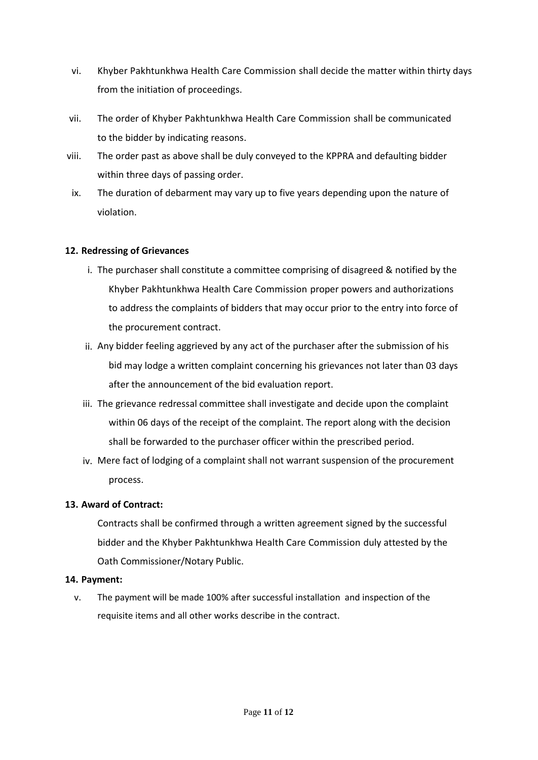- vi. Khyber Pakhtunkhwa Health Care Commission shall decide the matter within thirty days from the initiation of proceedings.
- vii. The order of Khyber Pakhtunkhwa Health Care Commission shall be communicated to the bidder by indicating reasons.
- viii. The order past as above shall be duly conveyed to the KPPRA and defaulting bidder within three days of passing order.
- ix. The duration of debarment may vary up to five years depending upon the nature of violation.

## **12. Redressing of Grievances**

- i. The purchaser shall constitute a committee comprising of disagreed & notified by the Khyber Pakhtunkhwa Health Care Commission proper powers and authorizations to address the complaints of bidders that may occur prior to the entry into force of the procurement contract.
- ii. Any bidder feeling aggrieved by any act of the purchaser after the submission of his bid may lodge a written complaint concerning his grievances not later than 03 days after the announcement of the bid evaluation report.
- iii. The grievance redressal committee shall investigate and decide upon the complaint within 06 days of the receipt of the complaint. The report along with the decision shall be forwarded to the purchaser officer within the prescribed period.
- iv. Mere fact of lodging of a complaint shall not warrant suspension of the procurement process.

## **13. Award of Contract:**

Contracts shall be confirmed through a written agreement signed by the successful bidder and the Khyber Pakhtunkhwa Health Care Commission duly attested by the Oath Commissioner/Notary Public.

## **14. Payment:**

v. The payment will be made 100% after successful installation and inspection of the requisite items and all other works describe in the contract.